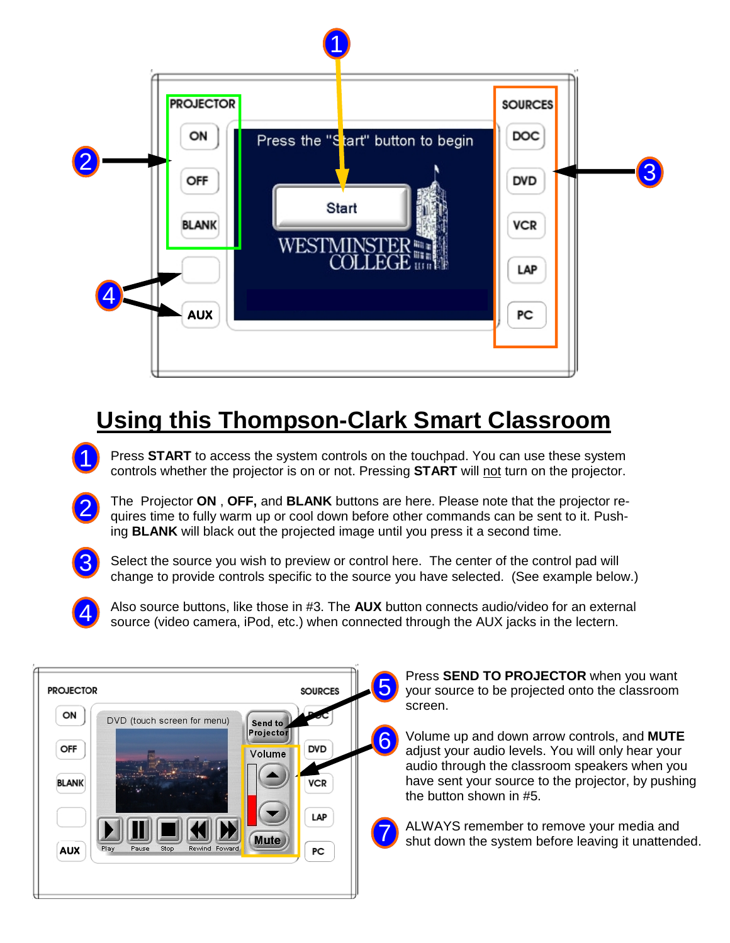

# **Using this Thompson-Clark Smart Classroom**

- Press **START** to access the system controls on the touchpad. You can use these system controls whether the projector is on or not. Pressing **START** will not turn on the projector. 1
	- The Projector **ON** , **OFF,** and **BLANK** buttons are here. Please note that the projector requires time to fully warm up or cool down before other commands can be sent to it. Pushing **BLANK** will black out the projected image until you press it a second time.
- 3

2

Select the source you wish to preview or control here. The center of the control pad will change to provide controls specific to the source you have selected. (See example below.)



Also source buttons, like those in #3. The **AUX** button connects audio/video for an external source (video camera, iPod, etc.) when connected through the AUX jacks in the lectern.



Press **SEND TO PROJECTOR** when you want your source to be projected onto the classroom screen.

Volume up and down arrow controls, and **MUTE**  adjust your audio levels. You will only hear your audio through the classroom speakers when you have sent your source to the projector, by pushing the button shown in #5.

ALWAYS remember to remove your media and shut down the system before leaving it unattended.